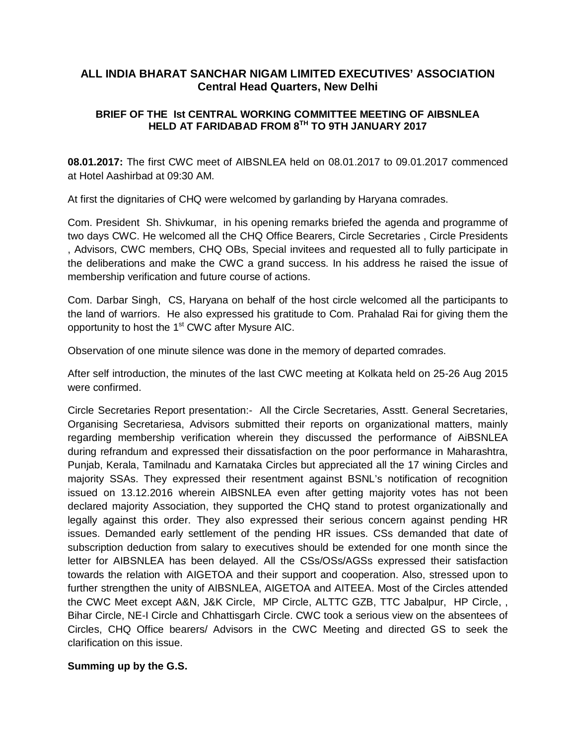# **ALL INDIA BHARAT SANCHAR NIGAM LIMITED EXECUTIVES' ASSOCIATION Central Head Quarters, New Delhi**

### **BRIEF OF THE Ist CENTRAL WORKING COMMITTEE MEETING OF AIBSNLEA HELD AT FARIDABAD FROM 8 TH TO 9TH JANUARY 2017**

**08.01.2017:** The first CWC meet of AIBSNLEA held on 08.01.2017 to 09.01.2017 commenced at Hotel Aashirbad at 09:30 AM.

At first the dignitaries of CHQ were welcomed by garlanding by Haryana comrades.

Com. President Sh. Shivkumar, in his opening remarks briefed the agenda and programme of two days CWC. He welcomed all the CHQ Office Bearers, Circle Secretaries , Circle Presidents , Advisors, CWC members, CHQ OBs, Special invitees and requested all to fully participate in the deliberations and make the CWC a grand success. In his address he raised the issue of membership verification and future course of actions.

Com. Darbar Singh, CS, Haryana on behalf of the host circle welcomed all the participants to the land of warriors. He also expressed his gratitude to Com. Prahalad Rai for giving them the opportunity to host the 1<sup>st</sup> CWC after Mysure AIC.

Observation of one minute silence was done in the memory of departed comrades.

After self introduction, the minutes of the last CWC meeting at Kolkata held on 25-26 Aug 2015 were confirmed.

Circle Secretaries Report presentation:- All the Circle Secretaries, Asstt. General Secretaries, Organising Secretariesa, Advisors submitted their reports on organizational matters, mainly regarding membership verification wherein they discussed the performance of AiBSNLEA during refrandum and expressed their dissatisfaction on the poor performance in Maharashtra, Punjab, Kerala, Tamilnadu and Karnataka Circles but appreciated all the 17 wining Circles and majority SSAs. They expressed their resentment against BSNL's notification of recognition issued on 13.12.2016 wherein AIBSNLEA even after getting majority votes has not been declared majority Association, they supported the CHQ stand to protest organizationally and legally against this order. They also expressed their serious concern against pending HR issues. Demanded early settlement of the pending HR issues. CSs demanded that date of subscription deduction from salary to executives should be extended for one month since the letter for AIBSNLEA has been delayed. All the CSs/OSs/AGSs expressed their satisfaction towards the relation with AIGETOA and their support and cooperation. Also, stressed upon to further strengthen the unity of AIBSNLEA, AIGETOA and AITEEA. Most of the Circles attended the CWC Meet except A&N, J&K Circle, MP Circle, ALTTC GZB, TTC Jabalpur, HP Circle, , Bihar Circle, NE-I Circle and Chhattisgarh Circle. CWC took a serious view on the absentees of Circles, CHQ Office bearers/ Advisors in the CWC Meeting and directed GS to seek the clarification on this issue.

## **Summing up by the G.S.**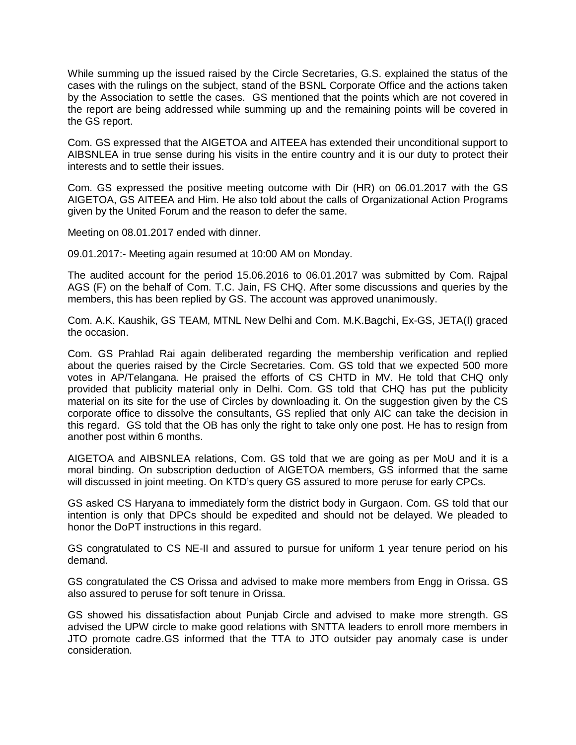While summing up the issued raised by the Circle Secretaries, G.S. explained the status of the cases with the rulings on the subject, stand of the BSNL Corporate Office and the actions taken by the Association to settle the cases. GS mentioned that the points which are not covered in the report are being addressed while summing up and the remaining points will be covered in the GS report.

Com. GS expressed that the AIGETOA and AITEEA has extended their unconditional support to AIBSNLEA in true sense during his visits in the entire country and it is our duty to protect their interests and to settle their issues.

Com. GS expressed the positive meeting outcome with Dir (HR) on 06.01.2017 with the GS AIGETOA, GS AITEEA and Him. He also told about the calls of Organizational Action Programs given by the United Forum and the reason to defer the same.

Meeting on 08.01.2017 ended with dinner.

09.01.2017:- Meeting again resumed at 10:00 AM on Monday.

The audited account for the period 15.06.2016 to 06.01.2017 was submitted by Com. Rajpal AGS (F) on the behalf of Com. T.C. Jain, FS CHQ. After some discussions and queries by the members, this has been replied by GS. The account was approved unanimously.

Com. A.K. Kaushik, GS TEAM, MTNL New Delhi and Com. M.K.Bagchi, Ex-GS, JETA(I) graced the occasion.

Com. GS Prahlad Rai again deliberated regarding the membership verification and replied about the queries raised by the Circle Secretaries. Com. GS told that we expected 500 more votes in AP/Telangana. He praised the efforts of CS CHTD in MV. He told that CHQ only provided that publicity material only in Delhi. Com. GS told that CHQ has put the publicity material on its site for the use of Circles by downloading it. On the suggestion given by the CS corporate office to dissolve the consultants, GS replied that only AIC can take the decision in this regard. GS told that the OB has only the right to take only one post. He has to resign from another post within 6 months.

AIGETOA and AIBSNLEA relations, Com. GS told that we are going as per MoU and it is a moral binding. On subscription deduction of AIGETOA members, GS informed that the same will discussed in joint meeting. On KTD's query GS assured to more peruse for early CPCs.

GS asked CS Haryana to immediately form the district body in Gurgaon. Com. GS told that our intention is only that DPCs should be expedited and should not be delayed. We pleaded to honor the DoPT instructions in this regard.

GS congratulated to CS NE-II and assured to pursue for uniform 1 year tenure period on his demand.

GS congratulated the CS Orissa and advised to make more members from Engg in Orissa. GS also assured to peruse for soft tenure in Orissa.

GS showed his dissatisfaction about Punjab Circle and advised to make more strength. GS advised the UPW circle to make good relations with SNTTA leaders to enroll more members in JTO promote cadre.GS informed that the TTA to JTO outsider pay anomaly case is under consideration.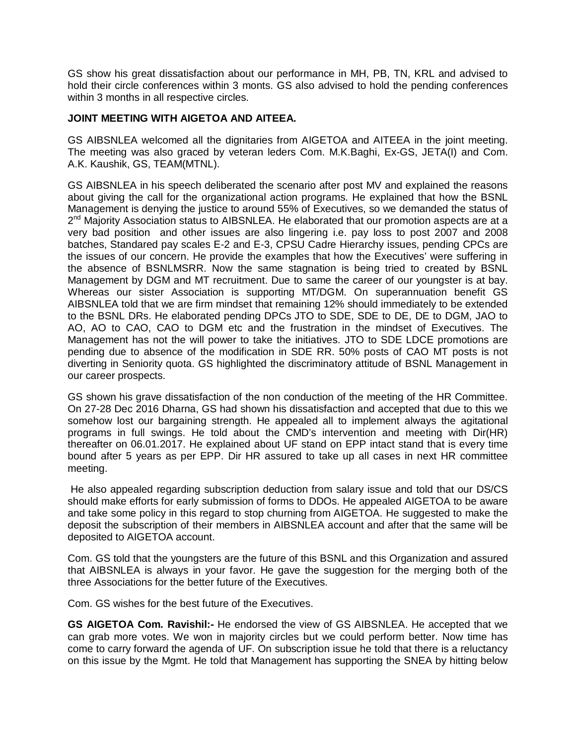GS show his great dissatisfaction about our performance in MH, PB, TN, KRL and advised to hold their circle conferences within 3 monts. GS also advised to hold the pending conferences within 3 months in all respective circles.

#### **JOINT MEETING WITH AIGETOA AND AITEEA.**

GS AIBSNLEA welcomed all the dignitaries from AIGETOA and AITEEA in the joint meeting. The meeting was also graced by veteran leders Com. M.K.Baghi, Ex-GS, JETA(I) and Com. A.K. Kaushik, GS, TEAM(MTNL).

GS AIBSNLEA in his speech deliberated the scenario after post MV and explained the reasons about giving the call for the organizational action programs. He explained that how the BSNL Management is denying the justice to around 55% of Executives, so we demanded the status of 2<sup>nd</sup> Majority Association status to AIBSNLEA. He elaborated that our promotion aspects are at a very bad position and other issues are also lingering i.e. pay loss to post 2007 and 2008 batches, Standared pay scales E-2 and E-3, CPSU Cadre Hierarchy issues, pending CPCs are the issues of our concern. He provide the examples that how the Executives' were suffering in the absence of BSNLMSRR. Now the same stagnation is being tried to created by BSNL Management by DGM and MT recruitment. Due to same the career of our youngster is at bay. Whereas our sister Association is supporting MT/DGM. On superannuation benefit GS AIBSNLEA told that we are firm mindset that remaining 12% should immediately to be extended to the BSNL DRs. He elaborated pending DPCs JTO to SDE, SDE to DE, DE to DGM, JAO to AO, AO to CAO, CAO to DGM etc and the frustration in the mindset of Executives. The Management has not the will power to take the initiatives. JTO to SDE LDCE promotions are pending due to absence of the modification in SDE RR. 50% posts of CAO MT posts is not diverting in Seniority quota. GS highlighted the discriminatory attitude of BSNL Management in our career prospects.

GS shown his grave dissatisfaction of the non conduction of the meeting of the HR Committee. On 27-28 Dec 2016 Dharna, GS had shown his dissatisfaction and accepted that due to this we somehow lost our bargaining strength. He appealed all to implement always the agitational programs in full swings. He told about the CMD's intervention and meeting with Dir(HR) thereafter on 06.01.2017. He explained about UF stand on EPP intact stand that is every time bound after 5 years as per EPP. Dir HR assured to take up all cases in next HR committee meeting.

He also appealed regarding subscription deduction from salary issue and told that our DS/CS should make efforts for early submission of forms to DDOs. He appealed AIGETOA to be aware and take some policy in this regard to stop churning from AIGETOA. He suggested to make the deposit the subscription of their members in AIBSNLEA account and after that the same will be deposited to AIGETOA account.

Com. GS told that the youngsters are the future of this BSNL and this Organization and assured that AIBSNLEA is always in your favor. He gave the suggestion for the merging both of the three Associations for the better future of the Executives.

Com. GS wishes for the best future of the Executives.

**GS AIGETOA Com. Ravishil:-** He endorsed the view of GS AIBSNLEA. He accepted that we can grab more votes. We won in majority circles but we could perform better. Now time has come to carry forward the agenda of UF. On subscription issue he told that there is a reluctancy on this issue by the Mgmt. He told that Management has supporting the SNEA by hitting below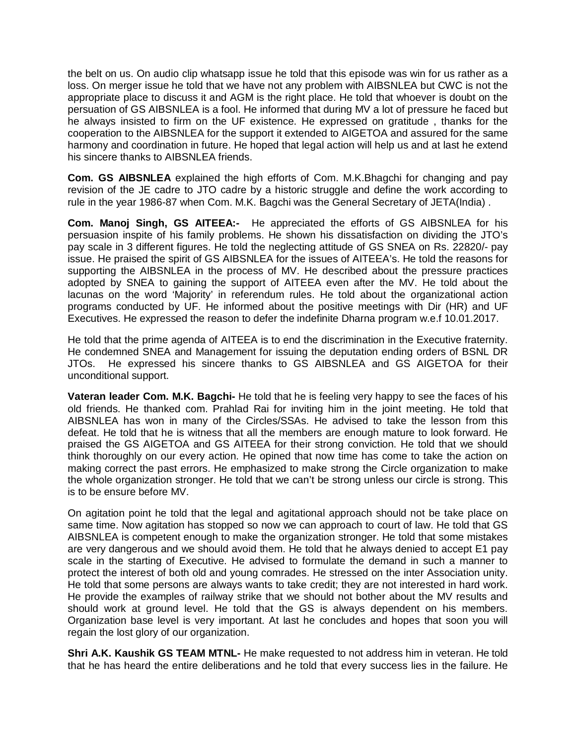the belt on us. On audio clip whatsapp issue he told that this episode was win for us rather as a loss. On merger issue he told that we have not any problem with AIBSNLEA but CWC is not the appropriate place to discuss it and AGM is the right place. He told that whoever is doubt on the persuation of GS AIBSNLEA is a fool. He informed that during MV a lot of pressure he faced but he always insisted to firm on the UF existence. He expressed on gratitude , thanks for the cooperation to the AIBSNLEA for the support it extended to AIGETOA and assured for the same harmony and coordination in future. He hoped that legal action will help us and at last he extend his sincere thanks to AIBSNLEA friends.

**Com. GS AIBSNLEA** explained the high efforts of Com. M.K.Bhagchi for changing and pay revision of the JE cadre to JTO cadre by a historic struggle and define the work according to rule in the year 1986-87 when Com. M.K. Bagchi was the General Secretary of JETA(India) .

**Com. Manoj Singh, GS AITEEA:-** He appreciated the efforts of GS AIBSNLEA for his persuasion inspite of his family problems. He shown his dissatisfaction on dividing the JTO's pay scale in 3 different figures. He told the neglecting attitude of GS SNEA on Rs. 22820/- pay issue. He praised the spirit of GS AIBSNLEA for the issues of AITEEA's. He told the reasons for supporting the AIBSNLEA in the process of MV. He described about the pressure practices adopted by SNEA to gaining the support of AITEEA even after the MV. He told about the lacunas on the word 'Majority' in referendum rules. He told about the organizational action programs conducted by UF. He informed about the positive meetings with Dir (HR) and UF Executives. He expressed the reason to defer the indefinite Dharna program w.e.f 10.01.2017.

He told that the prime agenda of AITEEA is to end the discrimination in the Executive fraternity. He condemned SNEA and Management for issuing the deputation ending orders of BSNL DR JTOs. He expressed his sincere thanks to GS AIBSNLEA and GS AIGETOA for their unconditional support.

**Vateran leader Com. M.K. Bagchi-** He told that he is feeling very happy to see the faces of his old friends. He thanked com. Prahlad Rai for inviting him in the joint meeting. He told that AIBSNLEA has won in many of the Circles/SSAs. He advised to take the lesson from this defeat. He told that he is witness that all the members are enough mature to look forward. He praised the GS AIGETOA and GS AITEEA for their strong conviction. He told that we should think thoroughly on our every action. He opined that now time has come to take the action on making correct the past errors. He emphasized to make strong the Circle organization to make the whole organization stronger. He told that we can't be strong unless our circle is strong. This is to be ensure before MV.

On agitation point he told that the legal and agitational approach should not be take place on same time. Now agitation has stopped so now we can approach to court of law. He told that GS AIBSNLEA is competent enough to make the organization stronger. He told that some mistakes are very dangerous and we should avoid them. He told that he always denied to accept E1 pay scale in the starting of Executive. He advised to formulate the demand in such a manner to protect the interest of both old and young comrades. He stressed on the inter Association unity. He told that some persons are always wants to take credit; they are not interested in hard work. He provide the examples of railway strike that we should not bother about the MV results and should work at ground level. He told that the GS is always dependent on his members. Organization base level is very important. At last he concludes and hopes that soon you will regain the lost glory of our organization.

**Shri A.K. Kaushik GS TEAM MTNL-** He make requested to not address him in veteran. He told that he has heard the entire deliberations and he told that every success lies in the failure. He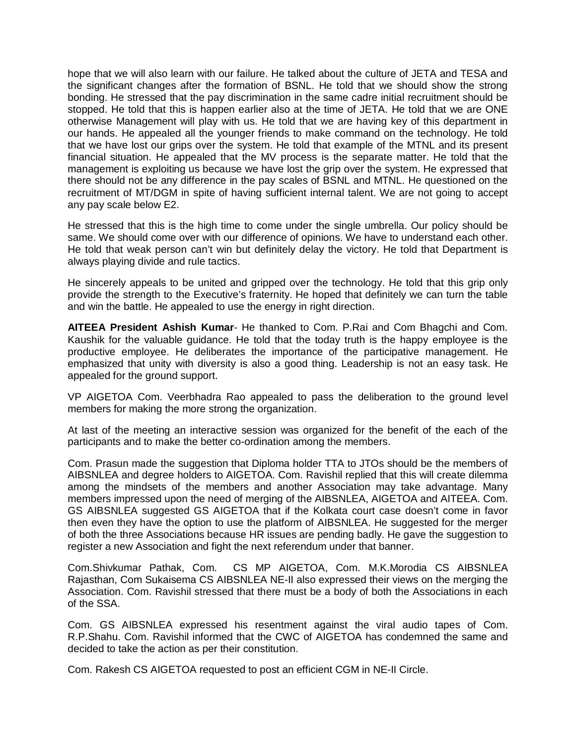hope that we will also learn with our failure. He talked about the culture of JETA and TESA and the significant changes after the formation of BSNL. He told that we should show the strong bonding. He stressed that the pay discrimination in the same cadre initial recruitment should be stopped. He told that this is happen earlier also at the time of JETA. He told that we are ONE otherwise Management will play with us. He told that we are having key of this department in our hands. He appealed all the younger friends to make command on the technology. He told that we have lost our grips over the system. He told that example of the MTNL and its present financial situation. He appealed that the MV process is the separate matter. He told that the management is exploiting us because we have lost the grip over the system. He expressed that there should not be any difference in the pay scales of BSNL and MTNL. He questioned on the recruitment of MT/DGM in spite of having sufficient internal talent. We are not going to accept any pay scale below E2.

He stressed that this is the high time to come under the single umbrella. Our policy should be same. We should come over with our difference of opinions. We have to understand each other. He told that weak person can't win but definitely delay the victory. He told that Department is always playing divide and rule tactics.

He sincerely appeals to be united and gripped over the technology. He told that this grip only provide the strength to the Executive's fraternity. He hoped that definitely we can turn the table and win the battle. He appealed to use the energy in right direction.

**AITEEA President Ashish Kumar**- He thanked to Com. P.Rai and Com Bhagchi and Com. Kaushik for the valuable guidance. He told that the today truth is the happy employee is the productive employee. He deliberates the importance of the participative management. He emphasized that unity with diversity is also a good thing. Leadership is not an easy task. He appealed for the ground support.

VP AIGETOA Com. Veerbhadra Rao appealed to pass the deliberation to the ground level members for making the more strong the organization.

At last of the meeting an interactive session was organized for the benefit of the each of the participants and to make the better co-ordination among the members.

Com. Prasun made the suggestion that Diploma holder TTA to JTOs should be the members of AIBSNLEA and degree holders to AIGETOA. Com. Ravishil replied that this will create dilemma among the mindsets of the members and another Association may take advantage. Many members impressed upon the need of merging of the AIBSNLEA, AIGETOA and AITEEA. Com. GS AIBSNLEA suggested GS AIGETOA that if the Kolkata court case doesn't come in favor then even they have the option to use the platform of AIBSNLEA. He suggested for the merger of both the three Associations because HR issues are pending badly. He gave the suggestion to register a new Association and fight the next referendum under that banner.

Com.Shivkumar Pathak, Com. CS MP AIGETOA, Com. M.K.Morodia CS AIBSNLEA Rajasthan, Com Sukaisema CS AIBSNLEA NE-II also expressed their views on the merging the Association. Com. Ravishil stressed that there must be a body of both the Associations in each of the SSA.

Com. GS AIBSNLEA expressed his resentment against the viral audio tapes of Com. R.P.Shahu. Com. Ravishil informed that the CWC of AIGETOA has condemned the same and decided to take the action as per their constitution.

Com. Rakesh CS AIGETOA requested to post an efficient CGM in NE-II Circle.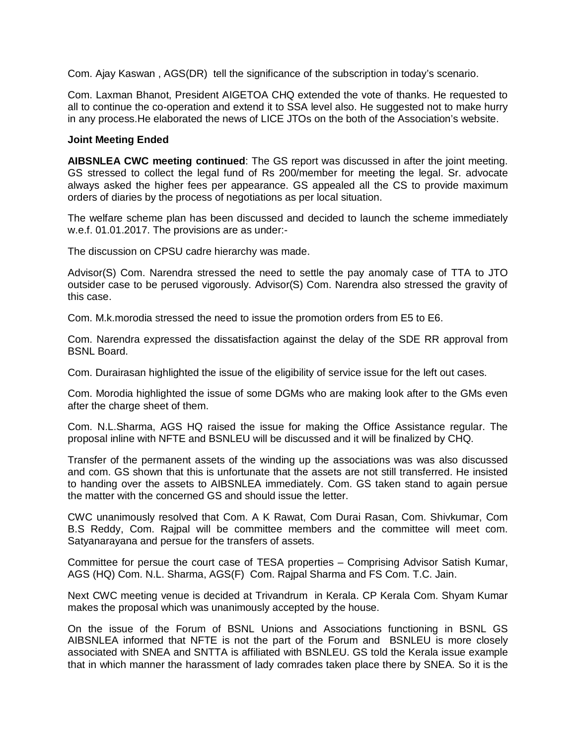Com. Ajay Kaswan , AGS(DR) tell the significance of the subscription in today's scenario.

Com. Laxman Bhanot, President AIGETOA CHQ extended the vote of thanks. He requested to all to continue the co-operation and extend it to SSA level also. He suggested not to make hurry in any process.He elaborated the news of LICE JTOs on the both of the Association's website.

#### **Joint Meeting Ended**

**AIBSNLEA CWC meeting continued**: The GS report was discussed in after the joint meeting. GS stressed to collect the legal fund of Rs 200/member for meeting the legal. Sr. advocate always asked the higher fees per appearance. GS appealed all the CS to provide maximum orders of diaries by the process of negotiations as per local situation.

The welfare scheme plan has been discussed and decided to launch the scheme immediately w.e.f. 01.01.2017. The provisions are as under:-

The discussion on CPSU cadre hierarchy was made.

Advisor(S) Com. Narendra stressed the need to settle the pay anomaly case of TTA to JTO outsider case to be perused vigorously. Advisor(S) Com. Narendra also stressed the gravity of this case.

Com. M.k.morodia stressed the need to issue the promotion orders from E5 to E6.

Com. Narendra expressed the dissatisfaction against the delay of the SDE RR approval from BSNL Board.

Com. Durairasan highlighted the issue of the eligibility of service issue for the left out cases.

Com. Morodia highlighted the issue of some DGMs who are making look after to the GMs even after the charge sheet of them.

Com. N.L.Sharma, AGS HQ raised the issue for making the Office Assistance regular. The proposal inline with NFTE and BSNLEU will be discussed and it will be finalized by CHQ.

Transfer of the permanent assets of the winding up the associations was was also discussed and com. GS shown that this is unfortunate that the assets are not still transferred. He insisted to handing over the assets to AIBSNLEA immediately. Com. GS taken stand to again persue the matter with the concerned GS and should issue the letter.

CWC unanimously resolved that Com. A K Rawat, Com Durai Rasan, Com. Shivkumar, Com B.S Reddy, Com. Rajpal will be committee members and the committee will meet com. Satyanarayana and persue for the transfers of assets.

Committee for persue the court case of TESA properties – Comprising Advisor Satish Kumar, AGS (HQ) Com. N.L. Sharma, AGS(F) Com. Rajpal Sharma and FS Com. T.C. Jain.

Next CWC meeting venue is decided at Trivandrum in Kerala. CP Kerala Com. Shyam Kumar makes the proposal which was unanimously accepted by the house.

On the issue of the Forum of BSNL Unions and Associations functioning in BSNL GS AIBSNLEA informed that NFTE is not the part of the Forum and BSNLEU is more closely associated with SNEA and SNTTA is affiliated with BSNLEU. GS told the Kerala issue example that in which manner the harassment of lady comrades taken place there by SNEA. So it is the